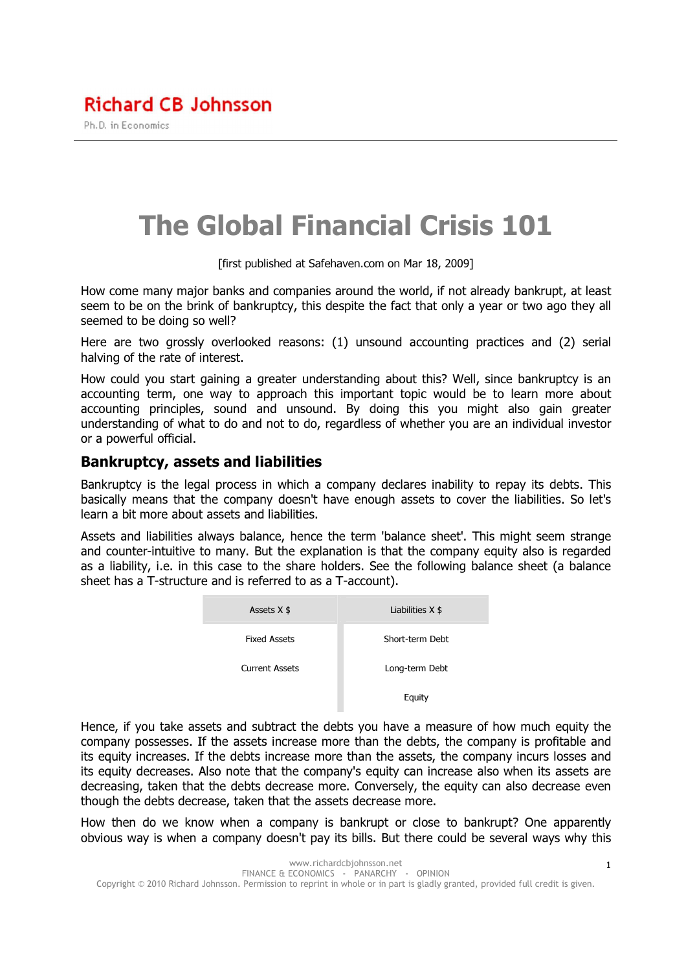The Global Financial Crisis 101

[first published at Safehaven.com on Mar 18, 2009]

How come many major banks and companies around the world, if not already bankrupt, at least seem to be on the brink of bankruptcy, this despite the fact that only a year or two ago they all seemed to be doing so well?

Here are two grossly overlooked reasons: (1) unsound accounting practices and (2) serial halving of the rate of interest.

How could you start gaining a greater understanding about this? Well, since bankruptcy is an accounting term, one way to approach this important topic would be to learn more about accounting principles, sound and unsound. By doing this you might also gain greater understanding of what to do and not to do, regardless of whether you are an individual investor or a powerful official.

#### Bankruptcy, assets and liabilities

Bankruptcy is the legal process in which a company declares inability to repay its debts. This basically means that the company doesn't have enough assets to cover the liabilities. So let's learn a bit more about assets and liabilities.

Assets and liabilities always balance, hence the term 'balance sheet'. This might seem strange and counter-intuitive to many. But the explanation is that the company equity also is regarded as a liability, i.e. in this case to the share holders. See the following balance sheet (a balance sheet has a T-structure and is referred to as a T-account).

| Assets $X$ \$         | Liabilities $X$ \$ |
|-----------------------|--------------------|
| <b>Fixed Assets</b>   | Short-term Debt    |
| <b>Current Assets</b> | Long-term Debt     |
|                       | Equity             |

Hence, if you take assets and subtract the debts you have a measure of how much equity the company possesses. If the assets increase more than the debts, the company is profitable and its equity increases. If the debts increase more than the assets, the company incurs losses and its equity decreases. Also note that the company's equity can increase also when its assets are decreasing, taken that the debts decrease more. Conversely, the equity can also decrease even though the debts decrease, taken that the assets decrease more.

How then do we know when a company is bankrupt or close to bankrupt? One apparently obvious way is when a company doesn't pay its bills. But there could be several ways why this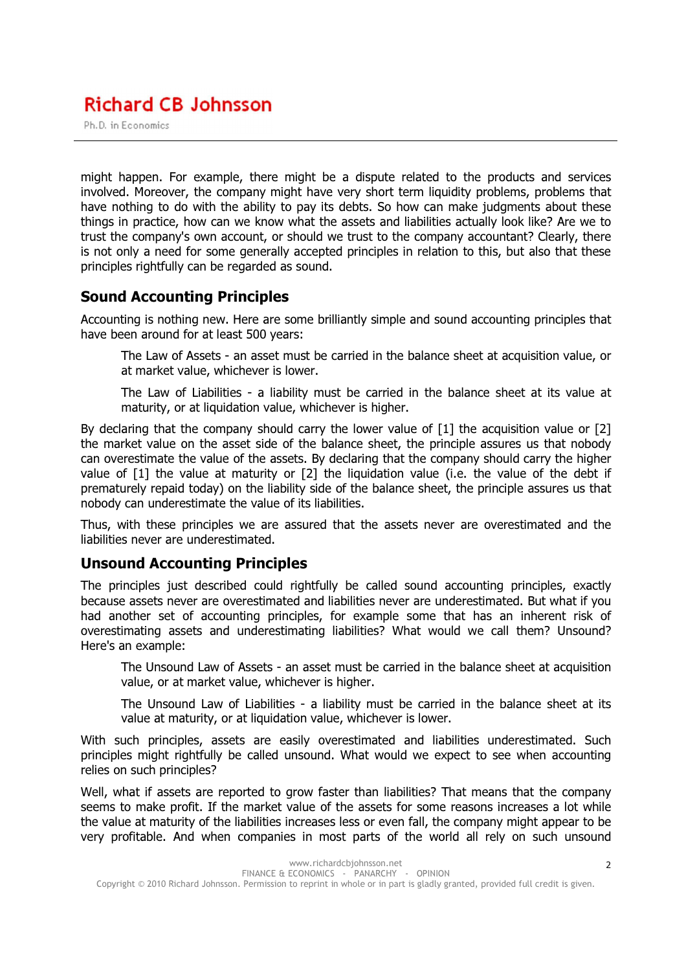Ph.D. in Economics

might happen. For example, there might be a dispute related to the products and services involved. Moreover, the company might have very short term liquidity problems, problems that have nothing to do with the ability to pay its debts. So how can make judgments about these things in practice, how can we know what the assets and liabilities actually look like? Are we to trust the company's own account, or should we trust to the company accountant? Clearly, there is not only a need for some generally accepted principles in relation to this, but also that these principles rightfully can be regarded as sound.

## Sound Accounting Principles

Accounting is nothing new. Here are some brilliantly simple and sound accounting principles that have been around for at least 500 years:

The Law of Assets - an asset must be carried in the balance sheet at acquisition value, or at market value, whichever is lower.

The Law of Liabilities - a liability must be carried in the balance sheet at its value at maturity, or at liquidation value, whichever is higher.

By declaring that the company should carry the lower value of [1] the acquisition value or [2] the market value on the asset side of the balance sheet, the principle assures us that nobody can overestimate the value of the assets. By declaring that the company should carry the higher value of [1] the value at maturity or [2] the liquidation value (i.e. the value of the debt if prematurely repaid today) on the liability side of the balance sheet, the principle assures us that nobody can underestimate the value of its liabilities.

Thus, with these principles we are assured that the assets never are overestimated and the liabilities never are underestimated.

## Unsound Accounting Principles

The principles just described could rightfully be called sound accounting principles, exactly because assets never are overestimated and liabilities never are underestimated. But what if you had another set of accounting principles, for example some that has an inherent risk of overestimating assets and underestimating liabilities? What would we call them? Unsound? Here's an example:

The Unsound Law of Assets - an asset must be carried in the balance sheet at acquisition value, or at market value, whichever is higher.

The Unsound Law of Liabilities - a liability must be carried in the balance sheet at its value at maturity, or at liquidation value, whichever is lower.

With such principles, assets are easily overestimated and liabilities underestimated. Such principles might rightfully be called unsound. What would we expect to see when accounting relies on such principles?

Well, what if assets are reported to grow faster than liabilities? That means that the company seems to make profit. If the market value of the assets for some reasons increases a lot while the value at maturity of the liabilities increases less or even fall, the company might appear to be very profitable. And when companies in most parts of the world all rely on such unsound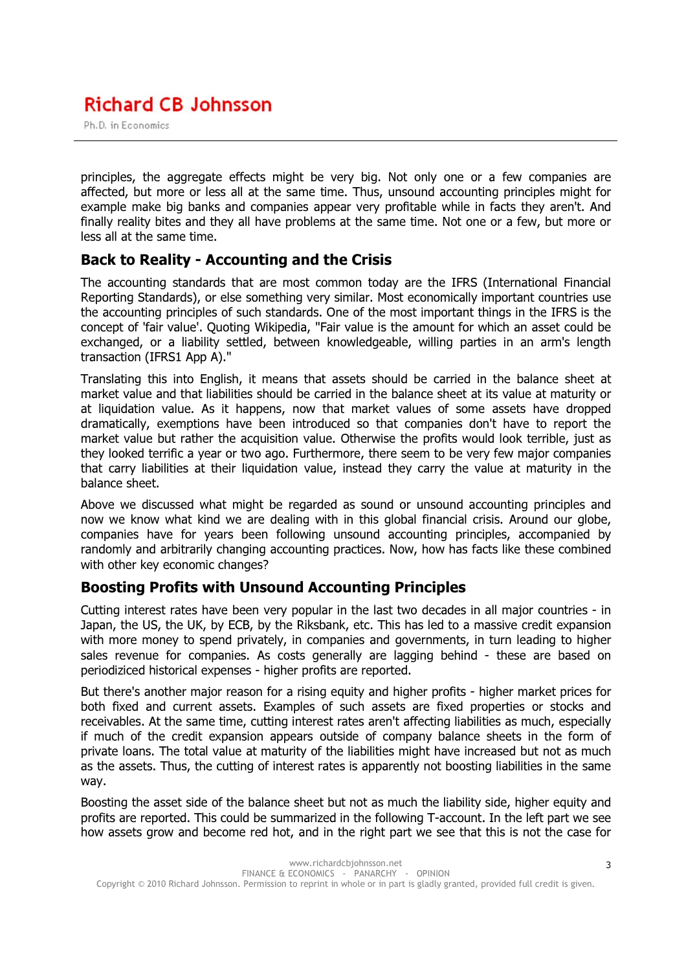Ph.D. in Economics

principles, the aggregate effects might be very big. Not only one or a few companies are affected, but more or less all at the same time. Thus, unsound accounting principles might for example make big banks and companies appear very profitable while in facts they aren't. And finally reality bites and they all have problems at the same time. Not one or a few, but more or less all at the same time.

## Back to Reality - Accounting and the Crisis

The accounting standards that are most common today are the IFRS (International Financial Reporting Standards), or else something very similar. Most economically important countries use the accounting principles of such standards. One of the most important things in the IFRS is the concept of 'fair value'. Quoting Wikipedia, "Fair value is the amount for which an asset could be exchanged, or a liability settled, between knowledgeable, willing parties in an arm's length transaction (IFRS1 App A)."

Translating this into English, it means that assets should be carried in the balance sheet at market value and that liabilities should be carried in the balance sheet at its value at maturity or at liquidation value. As it happens, now that market values of some assets have dropped dramatically, exemptions have been introduced so that companies don't have to report the market value but rather the acquisition value. Otherwise the profits would look terrible, just as they looked terrific a year or two ago. Furthermore, there seem to be very few major companies that carry liabilities at their liquidation value, instead they carry the value at maturity in the balance sheet.

Above we discussed what might be regarded as sound or unsound accounting principles and now we know what kind we are dealing with in this global financial crisis. Around our globe, companies have for years been following unsound accounting principles, accompanied by randomly and arbitrarily changing accounting practices. Now, how has facts like these combined with other key economic changes?

## Boosting Profits with Unsound Accounting Principles

Cutting interest rates have been very popular in the last two decades in all major countries - in Japan, the US, the UK, by ECB, by the Riksbank, etc. This has led to a massive credit expansion with more money to spend privately, in companies and governments, in turn leading to higher sales revenue for companies. As costs generally are lagging behind - these are based on periodiziced historical expenses - higher profits are reported.

But there's another major reason for a rising equity and higher profits - higher market prices for both fixed and current assets. Examples of such assets are fixed properties or stocks and receivables. At the same time, cutting interest rates aren't affecting liabilities as much, especially if much of the credit expansion appears outside of company balance sheets in the form of private loans. The total value at maturity of the liabilities might have increased but not as much as the assets. Thus, the cutting of interest rates is apparently not boosting liabilities in the same way.

Boosting the asset side of the balance sheet but not as much the liability side, higher equity and profits are reported. This could be summarized in the following T-account. In the left part we see how assets grow and become red hot, and in the right part we see that this is not the case for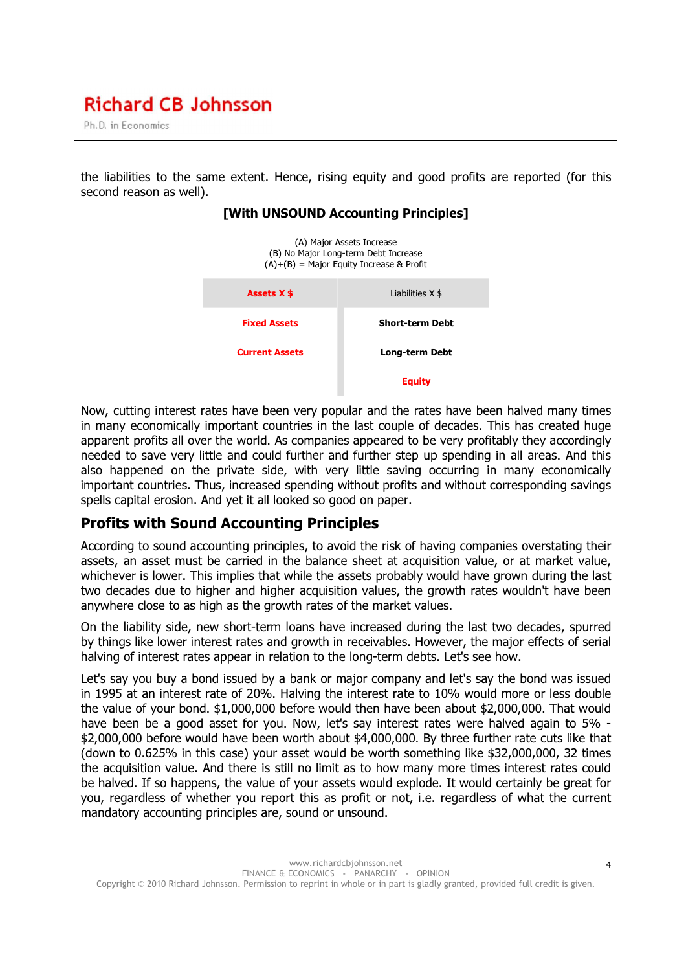Ph.D. in Economics

the liabilities to the same extent. Hence, rising equity and good profits are reported (for this second reason as well).

#### [With UNSOUND Accounting Principles]



Now, cutting interest rates have been very popular and the rates have been halved many times in many economically important countries in the last couple of decades. This has created huge apparent profits all over the world. As companies appeared to be very profitably they accordingly needed to save very little and could further and further step up spending in all areas. And this also happened on the private side, with very little saving occurring in many economically important countries. Thus, increased spending without profits and without corresponding savings spells capital erosion. And yet it all looked so good on paper.

### Profits with Sound Accounting Principles

According to sound accounting principles, to avoid the risk of having companies overstating their assets, an asset must be carried in the balance sheet at acquisition value, or at market value, whichever is lower. This implies that while the assets probably would have grown during the last two decades due to higher and higher acquisition values, the growth rates wouldn't have been anywhere close to as high as the growth rates of the market values.

On the liability side, new short-term loans have increased during the last two decades, spurred by things like lower interest rates and growth in receivables. However, the major effects of serial halving of interest rates appear in relation to the long-term debts. Let's see how.

Let's say you buy a bond issued by a bank or major company and let's say the bond was issued in 1995 at an interest rate of 20%. Halving the interest rate to 10% would more or less double the value of your bond. \$1,000,000 before would then have been about \$2,000,000. That would have been be a good asset for you. Now, let's say interest rates were halved again to 5% - \$2,000,000 before would have been worth about \$4,000,000. By three further rate cuts like that (down to 0.625% in this case) your asset would be worth something like \$32,000,000, 32 times the acquisition value. And there is still no limit as to how many more times interest rates could be halved. If so happens, the value of your assets would explode. It would certainly be great for you, regardless of whether you report this as profit or not, i.e. regardless of what the current mandatory accounting principles are, sound or unsound.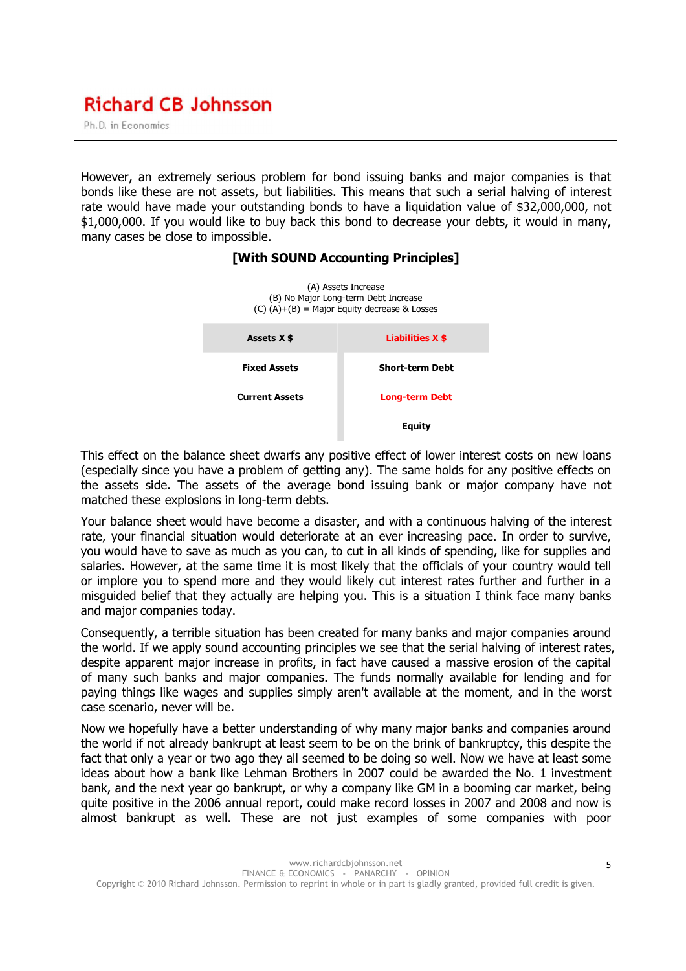Ph.D. in Economics

However, an extremely serious problem for bond issuing banks and major companies is that bonds like these are not assets, but liabilities. This means that such a serial halving of interest rate would have made your outstanding bonds to have a liquidation value of \$32,000,000, not \$1,000,000. If you would like to buy back this bond to decrease your debts, it would in many, many cases be close to impossible.



#### [With SOUND Accounting Principles]

This effect on the balance sheet dwarfs any positive effect of lower interest costs on new loans (especially since you have a problem of getting any). The same holds for any positive effects on the assets side. The assets of the average bond issuing bank or major company have not matched these explosions in long-term debts.

Your balance sheet would have become a disaster, and with a continuous halving of the interest rate, your financial situation would deteriorate at an ever increasing pace. In order to survive, you would have to save as much as you can, to cut in all kinds of spending, like for supplies and salaries. However, at the same time it is most likely that the officials of your country would tell or implore you to spend more and they would likely cut interest rates further and further in a misguided belief that they actually are helping you. This is a situation I think face many banks and major companies today.

Consequently, a terrible situation has been created for many banks and major companies around the world. If we apply sound accounting principles we see that the serial halving of interest rates, despite apparent major increase in profits, in fact have caused a massive erosion of the capital of many such banks and major companies. The funds normally available for lending and for paying things like wages and supplies simply aren't available at the moment, and in the worst case scenario, never will be.

Now we hopefully have a better understanding of why many major banks and companies around the world if not already bankrupt at least seem to be on the brink of bankruptcy, this despite the fact that only a year or two ago they all seemed to be doing so well. Now we have at least some ideas about how a bank like Lehman Brothers in 2007 could be awarded the No. 1 investment bank, and the next year go bankrupt, or why a company like GM in a booming car market, being quite positive in the 2006 annual report, could make record losses in 2007 and 2008 and now is almost bankrupt as well. These are not just examples of some companies with poor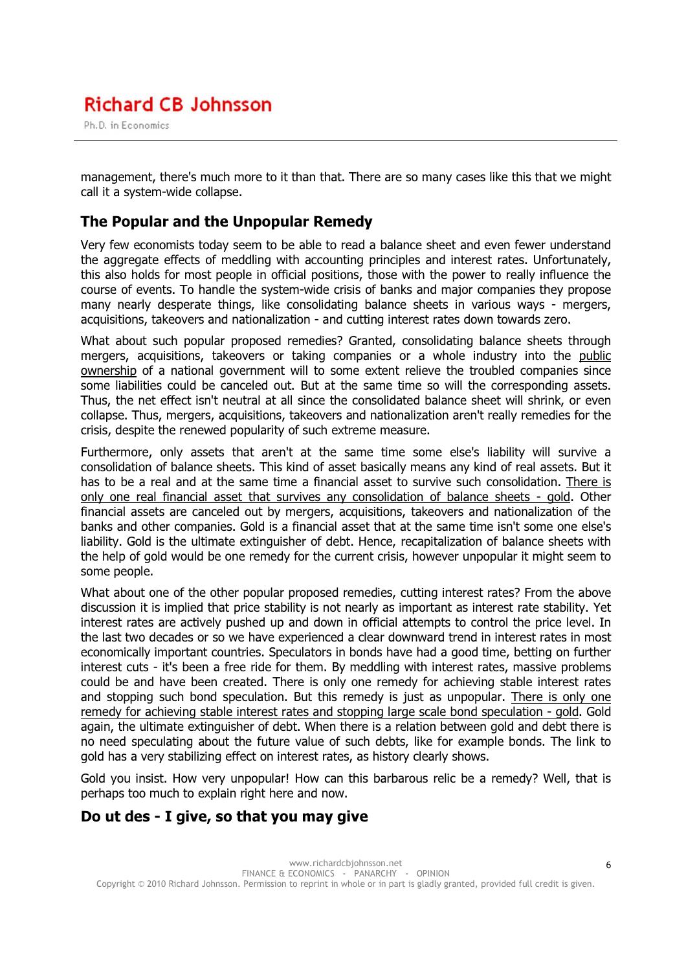Ph.D. in Economics

management, there's much more to it than that. There are so many cases like this that we might call it a system-wide collapse.

### The Popular and the Unpopular Remedy

Very few economists today seem to be able to read a balance sheet and even fewer understand the aggregate effects of meddling with accounting principles and interest rates. Unfortunately, this also holds for most people in official positions, those with the power to really influence the course of events. To handle the system-wide crisis of banks and major companies they propose many nearly desperate things, like consolidating balance sheets in various ways - mergers, acquisitions, takeovers and nationalization - and cutting interest rates down towards zero.

What about such popular proposed remedies? Granted, consolidating balance sheets through mergers, acquisitions, takeovers or taking companies or a whole industry into the public ownership of a national government will to some extent relieve the troubled companies since some liabilities could be canceled out. But at the same time so will the corresponding assets. Thus, the net effect isn't neutral at all since the consolidated balance sheet will shrink, or even collapse. Thus, mergers, acquisitions, takeovers and nationalization aren't really remedies for the crisis, despite the renewed popularity of such extreme measure.

Furthermore, only assets that aren't at the same time some else's liability will survive a consolidation of balance sheets. This kind of asset basically means any kind of real assets. But it has to be a real and at the same time a financial asset to survive such consolidation. There is only one real financial asset that survives any consolidation of balance sheets - gold. Other financial assets are canceled out by mergers, acquisitions, takeovers and nationalization of the banks and other companies. Gold is a financial asset that at the same time isn't some one else's liability. Gold is the ultimate extinguisher of debt. Hence, recapitalization of balance sheets with the help of gold would be one remedy for the current crisis, however unpopular it might seem to some people.

What about one of the other popular proposed remedies, cutting interest rates? From the above discussion it is implied that price stability is not nearly as important as interest rate stability. Yet interest rates are actively pushed up and down in official attempts to control the price level. In the last two decades or so we have experienced a clear downward trend in interest rates in most economically important countries. Speculators in bonds have had a good time, betting on further interest cuts - it's been a free ride for them. By meddling with interest rates, massive problems could be and have been created. There is only one remedy for achieving stable interest rates and stopping such bond speculation. But this remedy is just as unpopular. There is only one remedy for achieving stable interest rates and stopping large scale bond speculation - gold. Gold again, the ultimate extinguisher of debt. When there is a relation between gold and debt there is no need speculating about the future value of such debts, like for example bonds. The link to gold has a very stabilizing effect on interest rates, as history clearly shows.

Gold you insist. How very unpopular! How can this barbarous relic be a remedy? Well, that is perhaps too much to explain right here and now.

## Do ut des - I give, so that you may give